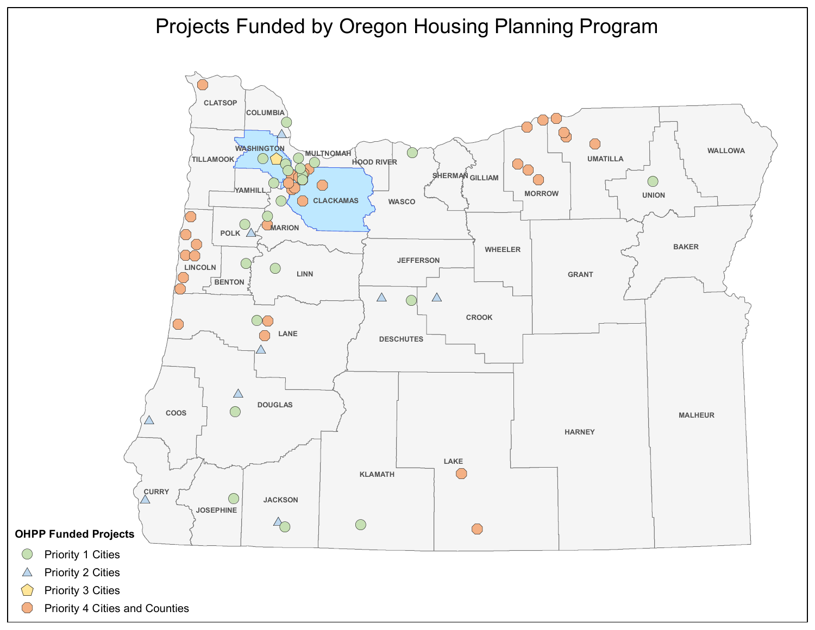

- $\triangle$  Priority 2 Cities
- Priority 3 Cities
- Priority 4 Cities and Counties